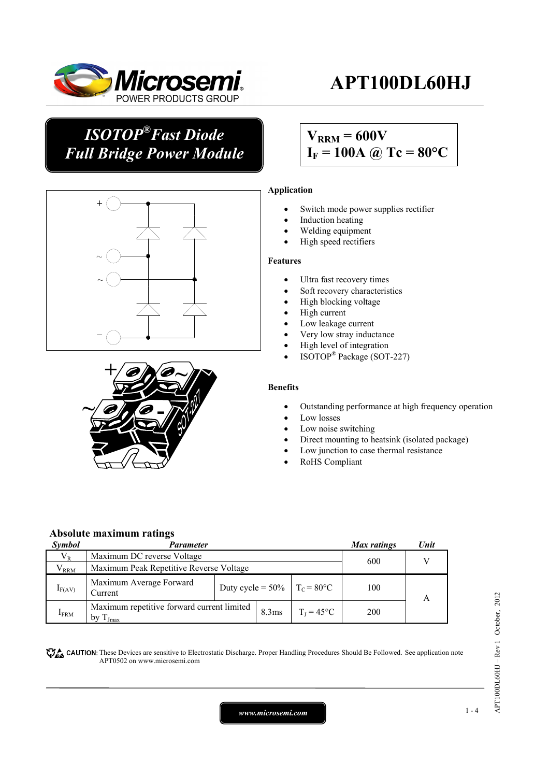

# **APT100DL60HJ**

# *ISOTOP®Fast Diode Full Bridge Power Module*

# $V_{RRM} = 600V$  $I_F = 100A$  @ Tc = 80°C





### **Application**

- Switch mode power supplies rectifier
- Induction heating
- Welding equipment
- High speed rectifiers

#### **Features**

- Ultra fast recovery times
- Soft recovery characteristics
- High blocking voltage
- High current
- Low leakage current
- Very low stray inductance
- High level of integration
- ISOTOP® Package (SOT-227)

#### **Benefits**

- Outstanding performance at high frequency operation
- Low losses
- Low noise switching
- Direct mounting to heatsink (isolated package)
- Low junction to case thermal resistance
- RoHS Compliant

#### **Absolute maximum ratings**

| Symbol           | Parameter                                                   |                                                       |       | Max ratings         | Unit |  |
|------------------|-------------------------------------------------------------|-------------------------------------------------------|-------|---------------------|------|--|
| $V_{R}$          | Maximum DC reverse Voltage                                  |                                                       |       |                     | 600  |  |
| $\rm V_{RRM}$    | Maximum Peak Repetitive Reverse Voltage                     |                                                       |       |                     |      |  |
| $I_{F(AV)}$      | Maximum Average Forward<br>Current                          | Duty cycle = $50\%$   T <sub>c</sub> = $80^{\circ}$ C |       |                     | 100  |  |
| $I_{\text{FRM}}$ | Maximum repetitive forward current limited<br>by $T_{Jmax}$ |                                                       | 8.3ms | $T_I = 45^{\circ}C$ | 200  |  |

**These** CAUTION: These Devices are sensitive to Electrostatic Discharge. Proper Handling Procedures Should Be Followed. See application note APT0502 on www.microsemi.com

*www.microsemi.com* 1-4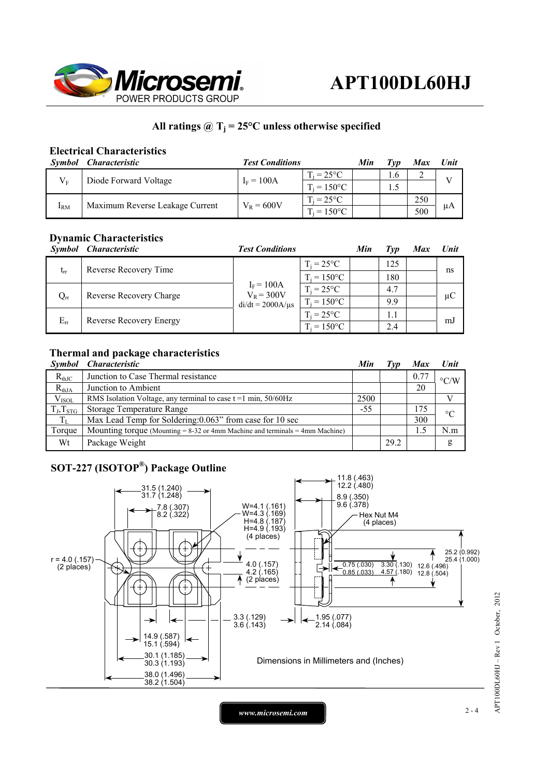

## All ratings  $\omega_{\text{I}} = 25^{\circ}\text{C}$  unless otherwise specified

### **Electrical Characteristics**

| Symbol       | <i><b>Characteristic</b></i>    | <b>Test Conditions</b> | Min                      | Tvp | Max             | Unit |              |
|--------------|---------------------------------|------------------------|--------------------------|-----|-----------------|------|--------------|
| $V_{E}$      | Diode Forward Voltage           | $I_F = 100A$           | $T_i = 25^{\circ}C$      |     | .6 <sub>1</sub> |      | $\mathbf{V}$ |
|              |                                 |                        | $E_i = 150^{\circ}C$     |     |                 |      |              |
| $I_{\rm RM}$ | Maximum Reverse Leakage Current | $V_R = 600V$           | $\Gamma_i = 25^{\circ}C$ |     |                 | 250  |              |
|              |                                 |                        | $E = 150^{\circ}C$       |     |                 | 500  | μA           |

## **Dynamic Characteristics**

| Symbol   | <i><b>Characteristic</b></i> | <b>Test Conditions</b>                                |                     | Min | Typ | <b>Max</b> | Unit    |
|----------|------------------------------|-------------------------------------------------------|---------------------|-----|-----|------------|---------|
| $t_{rr}$ | Reverse Recovery Time        |                                                       | $T_i = 25^{\circ}C$ |     | 125 |            | ns      |
|          |                              | $I_F = 100A$<br>$V_R = 300V$<br>$di/dt = 2000A/\mu s$ | $\Gamma_i = 150$ °C |     | 180 |            |         |
| $Q_{rr}$ | Reverse Recovery Charge      |                                                       | $T_i = 25^{\circ}C$ |     | 4.7 |            | $\mu$ C |
|          |                              |                                                       | $T_i = 150$ °C      |     | 9.9 |            |         |
| $E_{rr}$ | Reverse Recovery Energy      |                                                       | $\Gamma_i = 25$ °C  |     | 1.1 |            |         |
|          |                              |                                                       | $T_i = 150$ °C      |     | 2.4 |            | mJ      |

### **Thermal and package characteristics**

| <i>Symbol</i>  | <i><b>Characteristic</b></i>                                                      | Min   | T vp | <b>Max</b> | Unit               |
|----------------|-----------------------------------------------------------------------------------|-------|------|------------|--------------------|
| $R_{thJC}$     | Junction to Case Thermal resistance                                               |       |      | 0.77       | $\rm ^{\circ}$ C/W |
| $R_{thJA}$     | Junction to Ambient                                                               |       |      | 20         |                    |
| $V_{ISOL}$     | RMS Isolation Voltage, any terminal to case $t = 1$ min, 50/60Hz                  | 2500  |      |            |                    |
| $T_J, T_{STG}$ | Storage Temperature Range                                                         | $-55$ |      | 175        | $\circ$ C          |
| $T_{L}$        | Max Lead Temp for Soldering: 0.063" from case for 10 sec                          |       |      | 300        |                    |
| Torque         | Mounting torque (Mounting $= 8-32$ or 4mm Machine and terminals $= 4$ mm Machine) |       |      |            | N.m                |
| Wt             | Package Weight                                                                    |       | 29.2 |            | g                  |

# **SOT-227 (ISOTOP®) Package Outline**



*www.microsemi.com* 2-4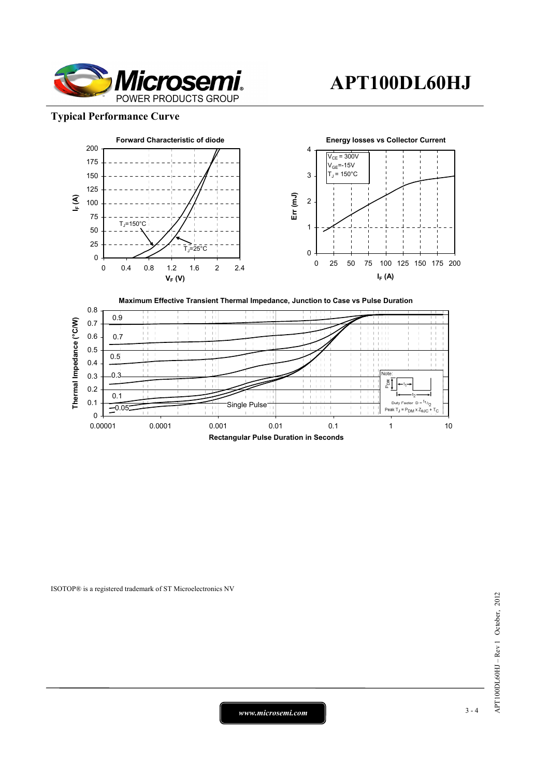

## **Typical Performance Curve**





ISOTOP® is a registered trademark of ST Microelectronics NV

*www.microsemi.com* 3-4